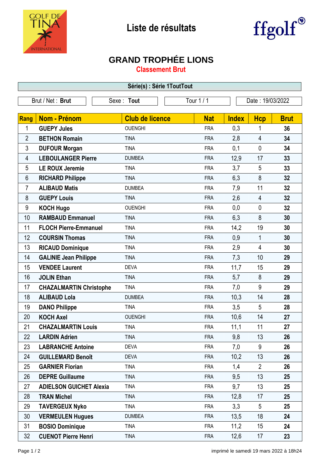



## **GRAND TROPHÉE LIONS**

**Classement Brut**

| Série(s) : Série 1ToutTout |                                |                        |            |              |                  |             |  |
|----------------------------|--------------------------------|------------------------|------------|--------------|------------------|-------------|--|
|                            | Brut / Net: Brut               | Sexe: Tout             | Tour 1 / 1 |              | Date: 19/03/2022 |             |  |
|                            |                                |                        |            |              |                  |             |  |
| Rang                       | <b>Nom - Prénom</b>            | <b>Club de licence</b> | <b>Nat</b> | <b>Index</b> | <b>Hcp</b>       | <b>Brut</b> |  |
| 1                          | <b>GUEPY Jules</b>             | <b>OUENGHI</b>         | <b>FRA</b> | 0,3          | 1                | 36          |  |
| $\overline{2}$             | <b>BETHON Romain</b>           | <b>TINA</b>            | <b>FRA</b> | 2,8          | $\overline{4}$   | 34          |  |
| 3                          | <b>DUFOUR Morgan</b>           | <b>TINA</b>            | <b>FRA</b> | 0,1          | $\mathbf 0$      | 34          |  |
| 4                          | <b>LEBOULANGER Pierre</b>      | <b>DUMBEA</b>          | <b>FRA</b> | 12,9         | 17               | 33          |  |
| 5                          | <b>LE ROUX Jeremie</b>         | <b>TINA</b>            | <b>FRA</b> | 3,7          | 5                | 33          |  |
| 6                          | <b>RICHARD Philippe</b>        | <b>TINA</b>            | <b>FRA</b> | 6,3          | 8                | 32          |  |
| 7                          | <b>ALIBAUD Matis</b>           | <b>DUMBEA</b>          | <b>FRA</b> | 7,9          | 11               | 32          |  |
| 8                          | <b>GUEPY Louis</b>             | <b>TINA</b>            | <b>FRA</b> | 2,6          | $\overline{4}$   | 32          |  |
| 9                          | <b>KOCH Hugo</b>               | <b>OUENGHI</b>         | <b>FRA</b> | 0,0          | $\mathbf{0}$     | 32          |  |
| 10                         | <b>RAMBAUD Emmanuel</b>        | <b>TINA</b>            | <b>FRA</b> | 6,3          | 8                | 30          |  |
| 11                         | <b>FLOCH Pierre-Emmanuel</b>   | <b>TINA</b>            | <b>FRA</b> | 14,2         | 19               | 30          |  |
| 12                         | <b>COURSIN Thomas</b>          | <b>TINA</b>            | <b>FRA</b> | 0,9          | 1                | 30          |  |
| 13                         | <b>RICAUD Dominique</b>        | <b>TINA</b>            | <b>FRA</b> | 2,9          | $\overline{4}$   | 30          |  |
| 14                         | <b>GALINIE Jean Philippe</b>   | <b>TINA</b>            | <b>FRA</b> | 7,3          | 10               | 29          |  |
| 15                         | <b>VENDEE Laurent</b>          | <b>DEVA</b>            | <b>FRA</b> | 11,7         | 15               | 29          |  |
| 16                         | <b>JOLIN Ethan</b>             | <b>TINA</b>            | <b>FRA</b> | 5,7          | 8                | 29          |  |
| 17                         | <b>CHAZALMARTIN Christophe</b> | <b>TINA</b>            | <b>FRA</b> | 7,0          | 9                | 29          |  |
| 18                         | <b>ALIBAUD Lola</b>            | <b>DUMBEA</b>          | <b>FRA</b> | 10,3         | 14               | 28          |  |
| 19                         | <b>DANO Philippe</b>           | <b>TINA</b>            | <b>FRA</b> | 3,5          | 5                | 28          |  |
| 20                         | <b>KOCH Axel</b>               | <b>OUENGHI</b>         | <b>FRA</b> | 10,6         | 14               | 27          |  |
| 21                         | <b>CHAZALMARTIN Louis</b>      | tina                   | <b>FRA</b> | 11,1         | 11               | 27          |  |
| 22                         | <b>LARDIN Adrien</b>           | <b>TINA</b>            | <b>FRA</b> | 9,8          | 13               | 26          |  |
| 23                         | <b>LABRANCHE Antoine</b>       | <b>DEVA</b>            | <b>FRA</b> | 7,0          | 9                | 26          |  |
| 24                         | <b>GUILLEMARD Benoît</b>       | <b>DEVA</b>            | <b>FRA</b> | 10,2         | 13               | 26          |  |
| 25                         | <b>GARNIER Florian</b>         | <b>TINA</b>            | <b>FRA</b> | 1,4          | $\overline{2}$   | 26          |  |
| 26                         | <b>DEPRE Guillaume</b>         | <b>TINA</b>            | <b>FRA</b> | 9,5          | 13               | 25          |  |
| 27                         | <b>ADIELSON GUICHET Alexia</b> | <b>TINA</b>            | <b>FRA</b> | 9,7          | 13               | 25          |  |
| 28                         | <b>TRAN Michel</b>             | <b>TINA</b>            | <b>FRA</b> | 12,8         | 17               | 25          |  |
| 29                         | <b>TAVERGEUX Nyko</b>          | <b>TINA</b>            | <b>FRA</b> | 3,3          | 5                | 25          |  |
| 30                         | <b>VERMEULEN Hugues</b>        | <b>DUMBEA</b>          | <b>FRA</b> | 13,5         | 18               | 24          |  |
| 31                         | <b>BOSIO Dominique</b>         | <b>TINA</b>            | <b>FRA</b> | 11,2         | 15               | 24          |  |
| 32                         | <b>CUENOT Pierre Henri</b>     | <b>TINA</b>            | <b>FRA</b> | 12,6         | 17               | 23          |  |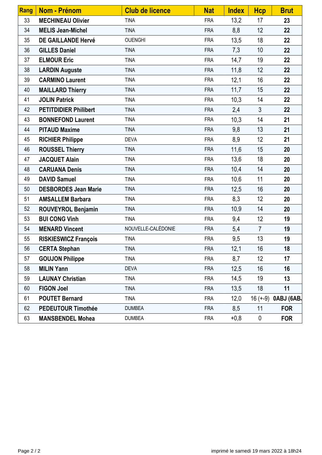| Rang | Nom - Prénom                 | <b>Club de licence</b> | <b>Nat</b> | <b>Index</b> | <b>Hcp</b>     | <b>Brut</b> |
|------|------------------------------|------------------------|------------|--------------|----------------|-------------|
| 33   | <b>MECHINEAU Olivier</b>     | <b>TINA</b>            | <b>FRA</b> | 13,2         | 17             | 23          |
| 34   | <b>MELIS Jean-Michel</b>     | <b>TINA</b>            | <b>FRA</b> | 8,8          | 12             | 22          |
| 35   | DE GAILLANDE Hervé           | <b>OUENGHI</b>         | <b>FRA</b> | 13,5         | 18             | 22          |
| 36   | <b>GILLES Daniel</b>         | <b>TINA</b>            | <b>FRA</b> | 7,3          | 10             | 22          |
| 37   | <b>ELMOUR Eric</b>           | <b>TINA</b>            | <b>FRA</b> | 14,7         | 19             | 22          |
| 38   | <b>LARDIN Auguste</b>        | <b>TINA</b>            | <b>FRA</b> | 11,8         | 12             | 22          |
| 39   | <b>CARMINO Laurent</b>       | <b>TINA</b>            | <b>FRA</b> | 12,1         | 16             | 22          |
| 40   | <b>MAILLARD Thierry</b>      | <b>TINA</b>            | <b>FRA</b> | 11,7         | 15             | 22          |
| 41   | <b>JOLIN Patrick</b>         | <b>TINA</b>            | <b>FRA</b> | 10,3         | 14             | 22          |
| 42   | <b>PETITDIDIER Philibert</b> | <b>TINA</b>            | <b>FRA</b> | 2,4          | 3              | 22          |
| 43   | <b>BONNEFOND Laurent</b>     | <b>TINA</b>            | <b>FRA</b> | 10,3         | 14             | 21          |
| 44   | <b>PITAUD Maxime</b>         | <b>TINA</b>            | <b>FRA</b> | 9,8          | 13             | 21          |
| 45   | <b>RICHIER Philippe</b>      | <b>DEVA</b>            | <b>FRA</b> | 8,9          | 12             | 21          |
| 46   | <b>ROUSSEL Thierry</b>       | <b>TINA</b>            | <b>FRA</b> | 11,6         | 15             | 20          |
| 47   | <b>JACQUET Alain</b>         | <b>TINA</b>            | <b>FRA</b> | 13,6         | 18             | 20          |
| 48   | <b>CARUANA Denis</b>         | <b>TINA</b>            | <b>FRA</b> | 10,4         | 14             | 20          |
| 49   | <b>DAVID Samuel</b>          | <b>TINA</b>            | <b>FRA</b> | 10,6         | 11             | 20          |
| 50   | <b>DESBORDES Jean Marie</b>  | <b>TINA</b>            | <b>FRA</b> | 12,5         | 16             | 20          |
| 51   | <b>AMSALLEM Barbara</b>      | <b>TINA</b>            | <b>FRA</b> | 8,3          | 12             | 20          |
| 52   | <b>ROUVEYROL Benjamin</b>    | <b>TINA</b>            | <b>FRA</b> | 10,9         | 14             | 20          |
| 53   | <b>BUI CONG Vinh</b>         | <b>TINA</b>            | <b>FRA</b> | 9,4          | 12             | 19          |
| 54   | <b>MENARD Vincent</b>        | NOUVELLE-CALÉDONIE     | <b>FRA</b> | 5,4          | $\overline{7}$ | 19          |
| 55   | <b>RISKIESWICZ François</b>  | <b>TINA</b>            | <b>FRA</b> | 9,5          | 13             | 19          |
| 56   | <b>CERTA Stephan</b>         | <b>TINA</b>            | <b>FRA</b> | 12,1         | 16             | 18          |
| 57   | <b>GOUJON Philippe</b>       | <b>TINA</b>            | <b>FRA</b> | 8,7          | 12             | 17          |
| 58   | <b>MILIN Yann</b>            | <b>DEVA</b>            | <b>FRA</b> | 12,5         | 16             | 16          |
| 59   | <b>LAUNAY Christian</b>      | <b>TINA</b>            | <b>FRA</b> | 14,5         | 19             | 13          |
| 60   | <b>FIGON Joel</b>            | <b>TINA</b>            | <b>FRA</b> | 13,5         | 18             | 11          |
| 61   | <b>POUTET Bernard</b>        | <b>TINA</b>            | <b>FRA</b> | 12,0         | $16 (+-9)$     | 0ABJ (6AB.  |
| 62   | <b>PEDEUTOUR Timothée</b>    | <b>DUMBEA</b>          | <b>FRA</b> | 8,5          | 11             | <b>FOR</b>  |
| 63   | <b>MANSBENDEL Mohea</b>      | <b>DUMBEA</b>          | <b>FRA</b> | $+0,8$       | 0              | <b>FOR</b>  |
|      |                              |                        |            |              |                |             |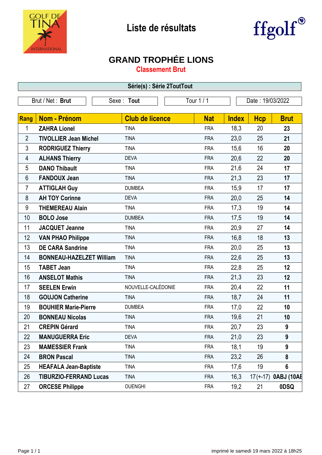



## **GRAND TROPHÉE LIONS**

**Classement Brut**

| Série(s) : Série 2ToutTout |                                 |                        |            |              |                  |                     |  |
|----------------------------|---------------------------------|------------------------|------------|--------------|------------------|---------------------|--|
| Brut / Net: Brut           |                                 | Sexe: Tout             | Tour 1 / 1 |              | Date: 19/03/2022 |                     |  |
|                            |                                 |                        |            |              |                  |                     |  |
| Rang                       | <b>Nom - Prénom</b>             | <b>Club de licence</b> | <b>Nat</b> | <b>Index</b> | <b>Hcp</b>       | <b>Brut</b>         |  |
| 1                          | <b>ZAHRA Lionel</b>             | <b>TINA</b>            | <b>FRA</b> | 18,3         | 20               | 23                  |  |
| $\overline{2}$             | <b>TIVOLLIER Jean Michel</b>    | <b>TINA</b>            | <b>FRA</b> | 23,0         | 25               | 21                  |  |
| 3                          | <b>RODRIGUEZ Thierry</b>        | <b>TINA</b>            | <b>FRA</b> | 15,6         | 16               | 20                  |  |
| 4                          | <b>ALHANS Thierry</b>           | <b>DEVA</b>            | <b>FRA</b> | 20,6         | 22               | 20                  |  |
| 5                          | <b>DANO Thibault</b>            | <b>TINA</b>            | <b>FRA</b> | 21,6         | 24               | 17                  |  |
| $6\phantom{1}$             | <b>FANDOUX Jean</b>             | <b>TINA</b>            | <b>FRA</b> | 21,3         | 23               | 17                  |  |
| 7                          | <b>ATTIGLAH Guy</b>             | <b>DUMBEA</b>          | <b>FRA</b> | 15,9         | 17               | 17                  |  |
| $\bf 8$                    | <b>AH TOY Corinne</b>           | <b>DEVA</b>            | <b>FRA</b> | 20,0         | 25               | 14                  |  |
| $9\,$                      | <b>THEMEREAU Alain</b>          | <b>TINA</b>            | <b>FRA</b> | 17,3         | 19               | 14                  |  |
| 10                         | <b>BOLO Jose</b>                | <b>DUMBEA</b>          | <b>FRA</b> | 17,5         | 19               | 14                  |  |
| 11                         | <b>JACQUET Jeanne</b>           | <b>TINA</b>            | <b>FRA</b> | 20,9         | 27               | 14                  |  |
| 12                         | <b>VAN PHAO Philippe</b>        | <b>TINA</b>            | <b>FRA</b> | 16,8         | 18               | 13                  |  |
| 13                         | <b>DE CARA Sandrine</b>         | <b>TINA</b>            | <b>FRA</b> | 20,0         | 25               | 13                  |  |
| 14                         | <b>BONNEAU-HAZELZET William</b> | <b>TINA</b>            | <b>FRA</b> | 22,6         | 25               | 13                  |  |
| 15                         | <b>TABET Jean</b>               | <b>TINA</b>            | <b>FRA</b> | 22,8         | 25               | 12                  |  |
| 16                         | <b>ANSELOT Mathis</b>           | <b>TINA</b>            | <b>FRA</b> | 21,3         | 23               | 12                  |  |
| 17                         | <b>SEELEN Erwin</b>             | NOUVELLE-CALÉDONIE     | <b>FRA</b> | 20,4         | 22               | 11                  |  |
| 18                         | <b>GOUJON Catherine</b>         | <b>TINA</b>            | <b>FRA</b> | 18,7         | 24               | 11                  |  |
| 19                         | <b>BOUHIER Marie-Pierre</b>     | <b>DUMBEA</b>          | <b>FRA</b> | 17,0         | 22               | 10                  |  |
| 20                         | <b>BONNEAU Nicolas</b>          | <b>TINA</b>            | <b>FRA</b> | 19,6         | 21               | 10                  |  |
| 21                         | <b>CREPIN Gérard</b>            | <b>TINA</b>            | <b>FRA</b> | 20,7         | 23               | 9                   |  |
| 22                         | <b>MANUGUERRA Eric</b>          | <b>DEVA</b>            | <b>FRA</b> | 21,0         | 23               | 9                   |  |
| 23                         | <b>MAMESSIER Frank</b>          | <b>TINA</b>            | <b>FRA</b> | 18,1         | 19               | $\boldsymbol{9}$    |  |
| 24                         | <b>BRON Pascal</b>              | <b>TINA</b>            | <b>FRA</b> | 23,2         | 26               | 8                   |  |
| 25                         | <b>HEAFALA Jean-Baptiste</b>    | <b>TINA</b>            | <b>FRA</b> | 17,6         | 19               | $6\phantom{1}$      |  |
| 26                         | <b>TIBURZIO-FERRAND Lucas</b>   | <b>TINA</b>            | <b>FRA</b> | 16,3         |                  | 17(+-17) OABJ (10AE |  |
| 27                         | <b>ORCESE Philippe</b>          | <b>OUENGHI</b>         | <b>FRA</b> | 19,2         | 21               | <b>ODSQ</b>         |  |